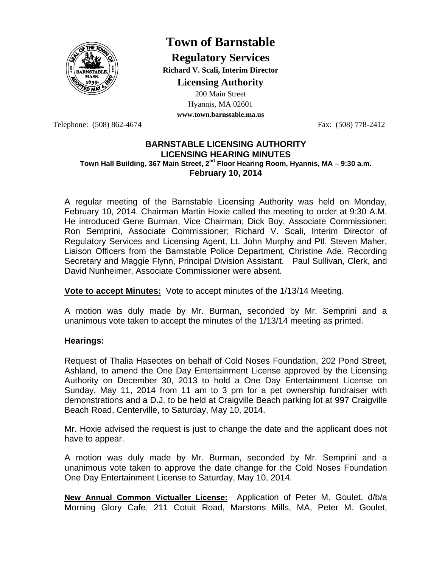

# **Town of Barnstable**

**Regulatory Services Richard V. Scali, Interim Director** 

**Licensing Authority**

200 Main Street Hyannis, MA 02601 **www.town.barnstable.ma.us**

Telephone: (508) 862-4674 Fax: (508) 778-2412

#### **BARNSTABLE LICENSING AUTHORITY LICENSING HEARING MINUTES**  Town Hall Building, 367 Main Street, 2<sup>nd</sup> Floor Hearing Room, Hyannis, MA – 9:30 a.m. **February 10, 2014**

A regular meeting of the Barnstable Licensing Authority was held on Monday, February 10, 2014. Chairman Martin Hoxie called the meeting to order at 9:30 A.M. He introduced Gene Burman, Vice Chairman; Dick Boy, Associate Commissioner; Ron Semprini, Associate Commissioner; Richard V. Scali, Interim Director of Regulatory Services and Licensing Agent, Lt. John Murphy and Ptl. Steven Maher, Liaison Officers from the Barnstable Police Department, Christine Ade, Recording Secretary and Maggie Flynn, Principal Division Assistant. Paul Sullivan, Clerk, and David Nunheimer, Associate Commissioner were absent.

**Vote to accept Minutes:** Vote to accept minutes of the 1/13/14 Meeting.

A motion was duly made by Mr. Burman, seconded by Mr. Semprini and a unanimous vote taken to accept the minutes of the 1/13/14 meeting as printed.

#### **Hearings:**

Request of Thalia Haseotes on behalf of Cold Noses Foundation, 202 Pond Street, Ashland, to amend the One Day Entertainment License approved by the Licensing Authority on December 30, 2013 to hold a One Day Entertainment License on Sunday, May 11, 2014 from 11 am to 3 pm for a pet ownership fundraiser with demonstrations and a D.J. to be held at Craigville Beach parking lot at 997 Craigville Beach Road, Centerville, to Saturday, May 10, 2014.

Mr. Hoxie advised the request is just to change the date and the applicant does not have to appear.

A motion was duly made by Mr. Burman, seconded by Mr. Semprini and a unanimous vote taken to approve the date change for the Cold Noses Foundation One Day Entertainment License to Saturday, May 10, 2014.

**New Annual Common Victualler License:** Application of Peter M. Goulet, d/b/a Morning Glory Cafe, 211 Cotuit Road, Marstons Mills, MA, Peter M. Goulet,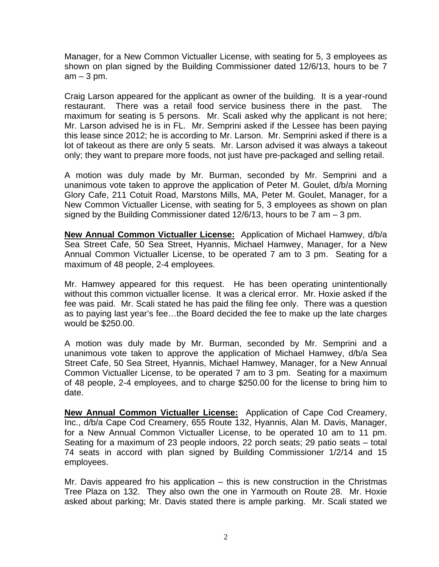Manager, for a New Common Victualler License, with seating for 5, 3 employees as shown on plan signed by the Building Commissioner dated 12/6/13, hours to be 7  $am - 3 pm$ .

Craig Larson appeared for the applicant as owner of the building. It is a year-round restaurant. There was a retail food service business there in the past. The maximum for seating is 5 persons. Mr. Scali asked why the applicant is not here; Mr. Larson advised he is in FL. Mr. Semprini asked if the Lessee has been paying this lease since 2012; he is according to Mr. Larson. Mr. Semprini asked if there is a lot of takeout as there are only 5 seats. Mr. Larson advised it was always a takeout only; they want to prepare more foods, not just have pre-packaged and selling retail.

A motion was duly made by Mr. Burman, seconded by Mr. Semprini and a unanimous vote taken to approve the application of Peter M. Goulet, d/b/a Morning Glory Cafe, 211 Cotuit Road, Marstons Mills, MA, Peter M. Goulet, Manager, for a New Common Victualler License, with seating for 5, 3 employees as shown on plan signed by the Building Commissioner dated  $12/6/13$ , hours to be 7 am  $-3$  pm.

**New Annual Common Victualler License:** Application of Michael Hamwey, d/b/a Sea Street Cafe, 50 Sea Street, Hyannis, Michael Hamwey, Manager, for a New Annual Common Victualler License, to be operated 7 am to 3 pm. Seating for a maximum of 48 people, 2-4 employees.

Mr. Hamwey appeared for this request. He has been operating unintentionally without this common victualler license. It was a clerical error. Mr. Hoxie asked if the fee was paid. Mr. Scali stated he has paid the filing fee only. There was a question as to paying last year's fee…the Board decided the fee to make up the late charges would be \$250.00.

A motion was duly made by Mr. Burman, seconded by Mr. Semprini and a unanimous vote taken to approve the application of Michael Hamwey, d/b/a Sea Street Cafe, 50 Sea Street, Hyannis, Michael Hamwey, Manager, for a New Annual Common Victualler License, to be operated 7 am to 3 pm. Seating for a maximum of 48 people, 2-4 employees, and to charge \$250.00 for the license to bring him to date.

**New Annual Common Victualler License:** Application of Cape Cod Creamery, Inc., d/b/a Cape Cod Creamery, 655 Route 132, Hyannis, Alan M. Davis, Manager, for a New Annual Common Victualler License, to be operated 10 am to 11 pm. Seating for a maximum of 23 people indoors, 22 porch seats; 29 patio seats – total 74 seats in accord with plan signed by Building Commissioner 1/2/14 and 15 employees.

Mr. Davis appeared fro his application – this is new construction in the Christmas Tree Plaza on 132. They also own the one in Yarmouth on Route 28. Mr. Hoxie asked about parking; Mr. Davis stated there is ample parking. Mr. Scali stated we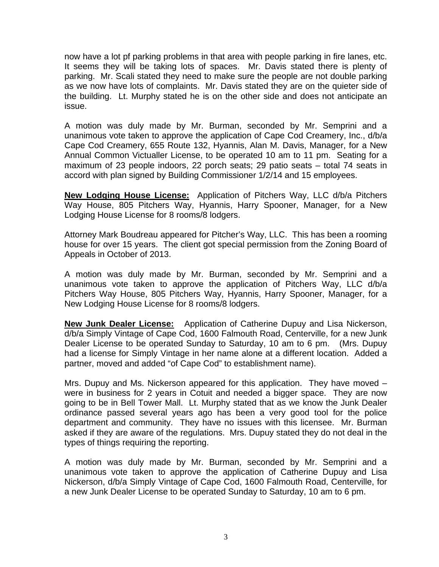now have a lot pf parking problems in that area with people parking in fire lanes, etc. It seems they will be taking lots of spaces. Mr. Davis stated there is plenty of parking. Mr. Scali stated they need to make sure the people are not double parking as we now have lots of complaints. Mr. Davis stated they are on the quieter side of the building. Lt. Murphy stated he is on the other side and does not anticipate an issue.

A motion was duly made by Mr. Burman, seconded by Mr. Semprini and a unanimous vote taken to approve the application of Cape Cod Creamery, Inc., d/b/a Cape Cod Creamery, 655 Route 132, Hyannis, Alan M. Davis, Manager, for a New Annual Common Victualler License, to be operated 10 am to 11 pm. Seating for a maximum of 23 people indoors, 22 porch seats; 29 patio seats – total 74 seats in accord with plan signed by Building Commissioner 1/2/14 and 15 employees.

**New Lodging House License:** Application of Pitchers Way, LLC d/b/a Pitchers Way House, 805 Pitchers Way, Hyannis, Harry Spooner, Manager, for a New Lodging House License for 8 rooms/8 lodgers.

Attorney Mark Boudreau appeared for Pitcher's Way, LLC. This has been a rooming house for over 15 years. The client got special permission from the Zoning Board of Appeals in October of 2013.

A motion was duly made by Mr. Burman, seconded by Mr. Semprini and a unanimous vote taken to approve the application of Pitchers Way, LLC d/b/a Pitchers Way House, 805 Pitchers Way, Hyannis, Harry Spooner, Manager, for a New Lodging House License for 8 rooms/8 lodgers.

**New Junk Dealer License:** Application of Catherine Dupuy and Lisa Nickerson, d/b/a Simply Vintage of Cape Cod, 1600 Falmouth Road, Centerville, for a new Junk Dealer License to be operated Sunday to Saturday, 10 am to 6 pm. (Mrs. Dupuy had a license for Simply Vintage in her name alone at a different location. Added a partner, moved and added "of Cape Cod" to establishment name).

Mrs. Dupuy and Ms. Nickerson appeared for this application. They have moved – were in business for 2 years in Cotuit and needed a bigger space. They are now going to be in Bell Tower Mall. Lt. Murphy stated that as we know the Junk Dealer ordinance passed several years ago has been a very good tool for the police department and community. They have no issues with this licensee. Mr. Burman asked if they are aware of the regulations. Mrs. Dupuy stated they do not deal in the types of things requiring the reporting.

A motion was duly made by Mr. Burman, seconded by Mr. Semprini and a unanimous vote taken to approve the application of Catherine Dupuy and Lisa Nickerson, d/b/a Simply Vintage of Cape Cod, 1600 Falmouth Road, Centerville, for a new Junk Dealer License to be operated Sunday to Saturday, 10 am to 6 pm.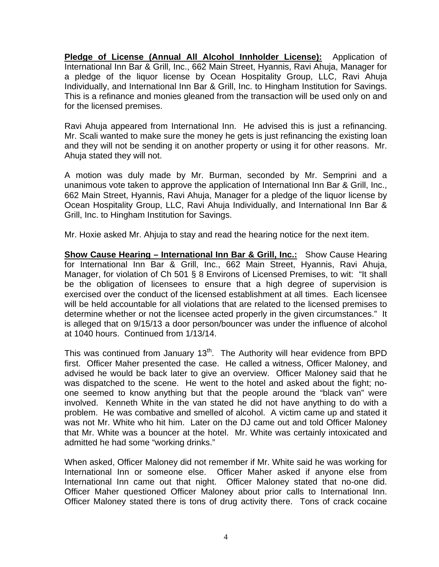**Pledge of License (Annual All Alcohol Innholder License):** Application of International Inn Bar & Grill, Inc., 662 Main Street, Hyannis, Ravi Ahuja, Manager for a pledge of the liquor license by Ocean Hospitality Group, LLC, Ravi Ahuja Individually, and International Inn Bar & Grill, Inc. to Hingham Institution for Savings. This is a refinance and monies gleaned from the transaction will be used only on and for the licensed premises.

Ravi Ahuja appeared from International Inn. He advised this is just a refinancing. Mr. Scali wanted to make sure the money he gets is just refinancing the existing loan and they will not be sending it on another property or using it for other reasons. Mr. Ahuja stated they will not.

A motion was duly made by Mr. Burman, seconded by Mr. Semprini and a unanimous vote taken to approve the application of International Inn Bar & Grill, Inc., 662 Main Street, Hyannis, Ravi Ahuja, Manager for a pledge of the liquor license by Ocean Hospitality Group, LLC, Ravi Ahuja Individually, and International Inn Bar & Grill, Inc. to Hingham Institution for Savings.

Mr. Hoxie asked Mr. Ahjuja to stay and read the hearing notice for the next item.

**Show Cause Hearing – International Inn Bar & Grill, Inc.:** Show Cause Hearing for International Inn Bar & Grill, Inc., 662 Main Street, Hyannis, Ravi Ahuja, Manager, for violation of Ch 501 § 8 Environs of Licensed Premises, to wit: "It shall be the obligation of licensees to ensure that a high degree of supervision is exercised over the conduct of the licensed establishment at all times. Each licensee will be held accountable for all violations that are related to the licensed premises to determine whether or not the licensee acted properly in the given circumstances." It is alleged that on 9/15/13 a door person/bouncer was under the influence of alcohol at 1040 hours. Continued from 1/13/14.

This was continued from January  $13<sup>th</sup>$ . The Authority will hear evidence from BPD first. Officer Maher presented the case. He called a witness, Officer Maloney, and advised he would be back later to give an overview. Officer Maloney said that he was dispatched to the scene. He went to the hotel and asked about the fight; noone seemed to know anything but that the people around the "black van" were involved. Kenneth White in the van stated he did not have anything to do with a problem. He was combative and smelled of alcohol. A victim came up and stated it was not Mr. White who hit him. Later on the DJ came out and told Officer Maloney that Mr. White was a bouncer at the hotel. Mr. White was certainly intoxicated and admitted he had some "working drinks."

When asked, Officer Maloney did not remember if Mr. White said he was working for International Inn or someone else. Officer Maher asked if anyone else from International Inn came out that night. Officer Maloney stated that no-one did. Officer Maher questioned Officer Maloney about prior calls to International Inn. Officer Maloney stated there is tons of drug activity there. Tons of crack cocaine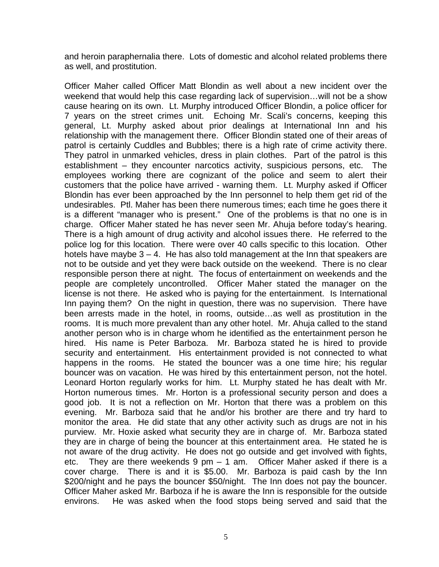and heroin paraphernalia there. Lots of domestic and alcohol related problems there as well, and prostitution.

Officer Maher called Officer Matt Blondin as well about a new incident over the weekend that would help this case regarding lack of supervision…will not be a show cause hearing on its own. Lt. Murphy introduced Officer Blondin, a police officer for 7 years on the street crimes unit. Echoing Mr. Scali's concerns, keeping this general, Lt. Murphy asked about prior dealings at International Inn and his relationship with the management there. Officer Blondin stated one of their areas of patrol is certainly Cuddles and Bubbles; there is a high rate of crime activity there. They patrol in unmarked vehicles, dress in plain clothes. Part of the patrol is this establishment – they encounter narcotics activity, suspicious persons, etc. The employees working there are cognizant of the police and seem to alert their customers that the police have arrived - warning them. Lt. Murphy asked if Officer Blondin has ever been approached by the Inn personnel to help them get rid of the undesirables. Ptl. Maher has been there numerous times; each time he goes there it is a different "manager who is present." One of the problems is that no one is in charge. Officer Maher stated he has never seen Mr. Ahuja before today's hearing. There is a high amount of drug activity and alcohol issues there. He referred to the police log for this location. There were over 40 calls specific to this location. Other hotels have maybe  $3 - 4$ . He has also told management at the Inn that speakers are not to be outside and yet they were back outside on the weekend. There is no clear responsible person there at night. The focus of entertainment on weekends and the people are completely uncontrolled. Officer Maher stated the manager on the license is not there. He asked who is paying for the entertainment. Is International Inn paying them? On the night in question, there was no supervision. There have been arrests made in the hotel, in rooms, outside…as well as prostitution in the rooms. It is much more prevalent than any other hotel. Mr. Ahuja called to the stand another person who is in charge whom he identified as the entertainment person he hired. His name is Peter Barboza. Mr. Barboza stated he is hired to provide security and entertainment. His entertainment provided is not connected to what happens in the rooms. He stated the bouncer was a one time hire; his regular bouncer was on vacation. He was hired by this entertainment person, not the hotel. Leonard Horton regularly works for him. Lt. Murphy stated he has dealt with Mr. Horton numerous times. Mr. Horton is a professional security person and does a good job. It is not a reflection on Mr. Horton that there was a problem on this evening. Mr. Barboza said that he and/or his brother are there and try hard to monitor the area. He did state that any other activity such as drugs are not in his purview. Mr. Hoxie asked what security they are in charge of. Mr. Barboza stated they are in charge of being the bouncer at this entertainment area. He stated he is not aware of the drug activity. He does not go outside and get involved with fights, etc. They are there weekends 9 pm – 1 am. Officer Maher asked if there is a cover charge. There is and it is \$5.00. Mr. Barboza is paid cash by the Inn \$200/night and he pays the bouncer \$50/night. The Inn does not pay the bouncer. Officer Maher asked Mr. Barboza if he is aware the Inn is responsible for the outside environs. He was asked when the food stops being served and said that the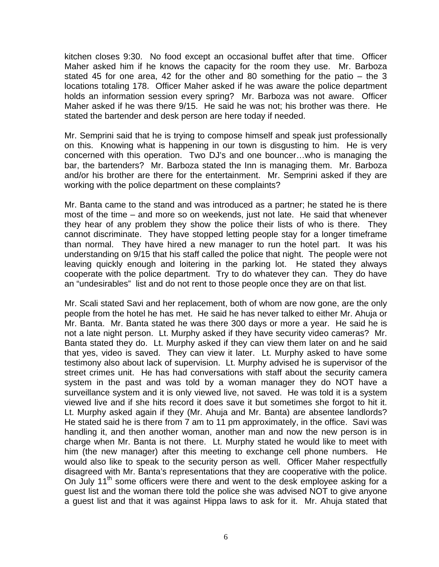kitchen closes 9:30. No food except an occasional buffet after that time. Officer Maher asked him if he knows the capacity for the room they use. Mr. Barboza stated 45 for one area, 42 for the other and 80 something for the patio – the 3 locations totaling 178. Officer Maher asked if he was aware the police department holds an information session every spring? Mr. Barboza was not aware. Officer Maher asked if he was there 9/15. He said he was not; his brother was there. He stated the bartender and desk person are here today if needed.

Mr. Semprini said that he is trying to compose himself and speak just professionally on this. Knowing what is happening in our town is disgusting to him. He is very concerned with this operation. Two DJ's and one bouncer…who is managing the bar, the bartenders? Mr. Barboza stated the Inn is managing them. Mr. Barboza and/or his brother are there for the entertainment. Mr. Semprini asked if they are working with the police department on these complaints?

Mr. Banta came to the stand and was introduced as a partner; he stated he is there most of the time – and more so on weekends, just not late. He said that whenever they hear of any problem they show the police their lists of who is there. They cannot discriminate. They have stopped letting people stay for a longer timeframe than normal. They have hired a new manager to run the hotel part. It was his understanding on 9/15 that his staff called the police that night. The people were not leaving quickly enough and loitering in the parking lot. He stated they always cooperate with the police department. Try to do whatever they can. They do have an "undesirables" list and do not rent to those people once they are on that list.

Mr. Scali stated Savi and her replacement, both of whom are now gone, are the only people from the hotel he has met. He said he has never talked to either Mr. Ahuja or Mr. Banta. Mr. Banta stated he was there 300 days or more a year. He said he is not a late night person. Lt. Murphy asked if they have security video cameras? Mr. Banta stated they do. Lt. Murphy asked if they can view them later on and he said that yes, video is saved. They can view it later. Lt. Murphy asked to have some testimony also about lack of supervision. Lt. Murphy advised he is supervisor of the street crimes unit. He has had conversations with staff about the security camera system in the past and was told by a woman manager they do NOT have a surveillance system and it is only viewed live, not saved. He was told it is a system viewed live and if she hits record it does save it but sometimes she forgot to hit it. Lt. Murphy asked again if they (Mr. Ahuja and Mr. Banta) are absentee landlords? He stated said he is there from 7 am to 11 pm approximately, in the office. Savi was handling it, and then another woman, another man and now the new person is in charge when Mr. Banta is not there. Lt. Murphy stated he would like to meet with him (the new manager) after this meeting to exchange cell phone numbers. He would also like to speak to the security person as well. Officer Maher respectfully disagreed with Mr. Banta's representations that they are cooperative with the police. On July 11<sup>th</sup> some officers were there and went to the desk employee asking for a guest list and the woman there told the police she was advised NOT to give anyone a guest list and that it was against Hippa laws to ask for it. Mr. Ahuja stated that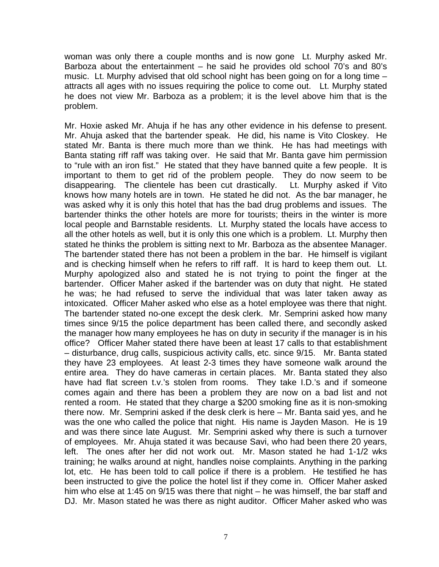woman was only there a couple months and is now gone Lt. Murphy asked Mr. Barboza about the entertainment – he said he provides old school 70's and 80's music. Lt. Murphy advised that old school night has been going on for a long time – attracts all ages with no issues requiring the police to come out. Lt. Murphy stated he does not view Mr. Barboza as a problem; it is the level above him that is the problem.

Mr. Hoxie asked Mr. Ahuja if he has any other evidence in his defense to present. Mr. Ahuja asked that the bartender speak. He did, his name is Vito Closkey. He stated Mr. Banta is there much more than we think. He has had meetings with Banta stating riff raff was taking over. He said that Mr. Banta gave him permission to "rule with an iron fist." He stated that they have banned quite a few people. It is important to them to get rid of the problem people. They do now seem to be disappearing. The clientele has been cut drastically. Lt. Murphy asked if Vito knows how many hotels are in town. He stated he did not. As the bar manager, he was asked why it is only this hotel that has the bad drug problems and issues. The bartender thinks the other hotels are more for tourists; theirs in the winter is more local people and Barnstable residents. Lt. Murphy stated the locals have access to all the other hotels as well, but it is only this one which is a problem. Lt. Murphy then stated he thinks the problem is sitting next to Mr. Barboza as the absentee Manager. The bartender stated there has not been a problem in the bar. He himself is vigilant and is checking himself when he refers to riff raff. It is hard to keep them out. Lt. Murphy apologized also and stated he is not trying to point the finger at the bartender. Officer Maher asked if the bartender was on duty that night. He stated he was; he had refused to serve the individual that was later taken away as intoxicated. Officer Maher asked who else as a hotel employee was there that night. The bartender stated no-one except the desk clerk. Mr. Semprini asked how many times since 9/15 the police department has been called there, and secondly asked the manager how many employees he has on duty in security if the manager is in his office? Officer Maher stated there have been at least 17 calls to that establishment – disturbance, drug calls, suspicious activity calls, etc. since 9/15. Mr. Banta stated they have 23 employees. At least 2-3 times they have someone walk around the entire area. They do have cameras in certain places. Mr. Banta stated they also have had flat screen t.v.'s stolen from rooms. They take I.D.'s and if someone comes again and there has been a problem they are now on a bad list and not rented a room. He stated that they charge a \$200 smoking fine as it is non-smoking there now. Mr. Semprini asked if the desk clerk is here – Mr. Banta said yes, and he was the one who called the police that night. His name is Jayden Mason. He is 19 and was there since late August. Mr. Semprini asked why there is such a turnover of employees. Mr. Ahuja stated it was because Savi, who had been there 20 years, left. The ones after her did not work out. Mr. Mason stated he had 1-1/2 wks training; he walks around at night, handles noise complaints. Anything in the parking lot, etc. He has been told to call police if there is a problem. He testified he has been instructed to give the police the hotel list if they come in. Officer Maher asked him who else at 1:45 on 9/15 was there that night – he was himself, the bar staff and DJ. Mr. Mason stated he was there as night auditor. Officer Maher asked who was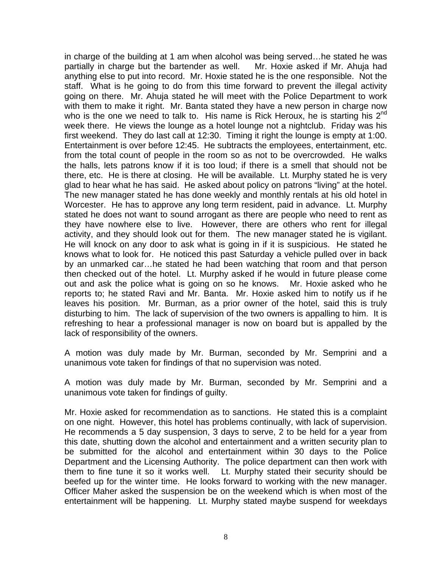in charge of the building at 1 am when alcohol was being served…he stated he was partially in charge but the bartender as well. Mr. Hoxie asked if Mr. Ahuja had anything else to put into record. Mr. Hoxie stated he is the one responsible. Not the staff. What is he going to do from this time forward to prevent the illegal activity going on there. Mr. Ahuja stated he will meet with the Police Department to work with them to make it right. Mr. Banta stated they have a new person in charge now who is the one we need to talk to. His name is Rick Heroux, he is starting his  $2^{nd}$ week there. He views the lounge as a hotel lounge not a nightclub. Friday was his first weekend. They do last call at 12:30. Timing it right the lounge is empty at 1:00. Entertainment is over before 12:45. He subtracts the employees, entertainment, etc. from the total count of people in the room so as not to be overcrowded. He walks the halls, lets patrons know if it is too loud; if there is a smell that should not be there, etc. He is there at closing. He will be available. Lt. Murphy stated he is very glad to hear what he has said. He asked about policy on patrons "living" at the hotel. The new manager stated he has done weekly and monthly rentals at his old hotel in Worcester. He has to approve any long term resident, paid in advance. Lt. Murphy stated he does not want to sound arrogant as there are people who need to rent as they have nowhere else to live. However, there are others who rent for illegal activity, and they should look out for them. The new manager stated he is vigilant. He will knock on any door to ask what is going in if it is suspicious. He stated he knows what to look for. He noticed this past Saturday a vehicle pulled over in back by an unmarked car…he stated he had been watching that room and that person then checked out of the hotel. Lt. Murphy asked if he would in future please come out and ask the police what is going on so he knows. Mr. Hoxie asked who he reports to; he stated Ravi and Mr. Banta. Mr. Hoxie asked him to notify us if he leaves his position. Mr. Burman, as a prior owner of the hotel, said this is truly disturbing to him. The lack of supervision of the two owners is appalling to him. It is refreshing to hear a professional manager is now on board but is appalled by the lack of responsibility of the owners.

A motion was duly made by Mr. Burman, seconded by Mr. Semprini and a unanimous vote taken for findings of that no supervision was noted.

A motion was duly made by Mr. Burman, seconded by Mr. Semprini and a unanimous vote taken for findings of guilty.

Mr. Hoxie asked for recommendation as to sanctions. He stated this is a complaint on one night. However, this hotel has problems continually, with lack of supervision. He recommends a 5 day suspension, 3 days to serve, 2 to be held for a year from this date, shutting down the alcohol and entertainment and a written security plan to be submitted for the alcohol and entertainment within 30 days to the Police Department and the Licensing Authority. The police department can then work with them to fine tune it so it works well. Lt. Murphy stated their security should be beefed up for the winter time. He looks forward to working with the new manager. Officer Maher asked the suspension be on the weekend which is when most of the entertainment will be happening. Lt. Murphy stated maybe suspend for weekdays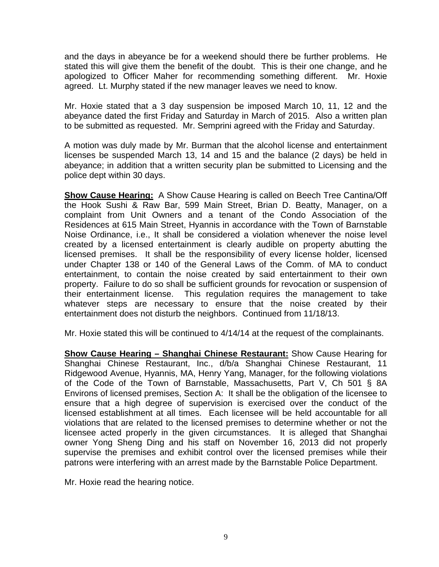and the days in abeyance be for a weekend should there be further problems. He stated this will give them the benefit of the doubt. This is their one change, and he apologized to Officer Maher for recommending something different. Mr. Hoxie agreed. Lt. Murphy stated if the new manager leaves we need to know.

Mr. Hoxie stated that a 3 day suspension be imposed March 10, 11, 12 and the abeyance dated the first Friday and Saturday in March of 2015. Also a written plan to be submitted as requested. Mr. Semprini agreed with the Friday and Saturday.

A motion was duly made by Mr. Burman that the alcohol license and entertainment licenses be suspended March 13, 14 and 15 and the balance (2 days) be held in abeyance; in addition that a written security plan be submitted to Licensing and the police dept within 30 days.

**Show Cause Hearing:** A Show Cause Hearing is called on Beech Tree Cantina/Off the Hook Sushi & Raw Bar, 599 Main Street, Brian D. Beatty, Manager, on a complaint from Unit Owners and a tenant of the Condo Association of the Residences at 615 Main Street, Hyannis in accordance with the Town of Barnstable Noise Ordinance, i.e., It shall be considered a violation whenever the noise level created by a licensed entertainment is clearly audible on property abutting the licensed premises. It shall be the responsibility of every license holder, licensed under Chapter 138 or 140 of the General Laws of the Comm. of MA to conduct entertainment, to contain the noise created by said entertainment to their own property. Failure to do so shall be sufficient grounds for revocation or suspension of their entertainment license. This regulation requires the management to take whatever steps are necessary to ensure that the noise created by their entertainment does not disturb the neighbors. Continued from 11/18/13.

Mr. Hoxie stated this will be continued to 4/14/14 at the request of the complainants.

**Show Cause Hearing – Shanghai Chinese Restaurant:** Show Cause Hearing for Shanghai Chinese Restaurant, Inc., d/b/a Shanghai Chinese Restaurant, 11 Ridgewood Avenue, Hyannis, MA, Henry Yang, Manager, for the following violations of the Code of the Town of Barnstable, Massachusetts, Part V, Ch 501 § 8A Environs of licensed premises, Section A: It shall be the obligation of the licensee to ensure that a high degree of supervision is exercised over the conduct of the licensed establishment at all times. Each licensee will be held accountable for all violations that are related to the licensed premises to determine whether or not the licensee acted properly in the given circumstances. It is alleged that Shanghai owner Yong Sheng Ding and his staff on November 16, 2013 did not properly supervise the premises and exhibit control over the licensed premises while their patrons were interfering with an arrest made by the Barnstable Police Department.

Mr. Hoxie read the hearing notice.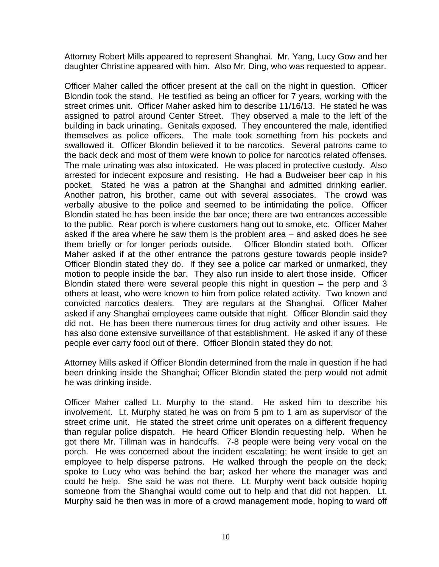Attorney Robert Mills appeared to represent Shanghai. Mr. Yang, Lucy Gow and her daughter Christine appeared with him. Also Mr. Ding, who was requested to appear.

Officer Maher called the officer present at the call on the night in question. Officer Blondin took the stand. He testified as being an officer for 7 years, working with the street crimes unit. Officer Maher asked him to describe 11/16/13. He stated he was assigned to patrol around Center Street. They observed a male to the left of the building in back urinating. Genitals exposed. They encountered the male, identified themselves as police officers. The male took something from his pockets and swallowed it. Officer Blondin believed it to be narcotics. Several patrons came to the back deck and most of them were known to police for narcotics related offenses. The male urinating was also intoxicated. He was placed in protective custody. Also arrested for indecent exposure and resisting. He had a Budweiser beer cap in his pocket. Stated he was a patron at the Shanghai and admitted drinking earlier. Another patron, his brother, came out with several associates. The crowd was verbally abusive to the police and seemed to be intimidating the police. Officer Blondin stated he has been inside the bar once; there are two entrances accessible to the public. Rear porch is where customers hang out to smoke, etc. Officer Maher asked if the area where he saw them is the problem area – and asked does he see them briefly or for longer periods outside. Officer Blondin stated both. Officer Maher asked if at the other entrance the patrons gesture towards people inside? Officer Blondin stated they do. If they see a police car marked or unmarked, they motion to people inside the bar. They also run inside to alert those inside. Officer Blondin stated there were several people this night in question  $-$  the perp and 3 others at least, who were known to him from police related activity. Two known and convicted narcotics dealers. They are regulars at the Shanghai. Officer Maher asked if any Shanghai employees came outside that night. Officer Blondin said they did not. He has been there numerous times for drug activity and other issues. He has also done extensive surveillance of that establishment. He asked if any of these people ever carry food out of there. Officer Blondin stated they do not.

Attorney Mills asked if Officer Blondin determined from the male in question if he had been drinking inside the Shanghai; Officer Blondin stated the perp would not admit he was drinking inside.

Officer Maher called Lt. Murphy to the stand. He asked him to describe his involvement. Lt. Murphy stated he was on from 5 pm to 1 am as supervisor of the street crime unit. He stated the street crime unit operates on a different frequency than regular police dispatch. He heard Officer Blondin requesting help. When he got there Mr. Tillman was in handcuffs. 7-8 people were being very vocal on the porch. He was concerned about the incident escalating; he went inside to get an employee to help disperse patrons. He walked through the people on the deck; spoke to Lucy who was behind the bar; asked her where the manager was and could he help. She said he was not there. Lt. Murphy went back outside hoping someone from the Shanghai would come out to help and that did not happen. Lt. Murphy said he then was in more of a crowd management mode, hoping to ward off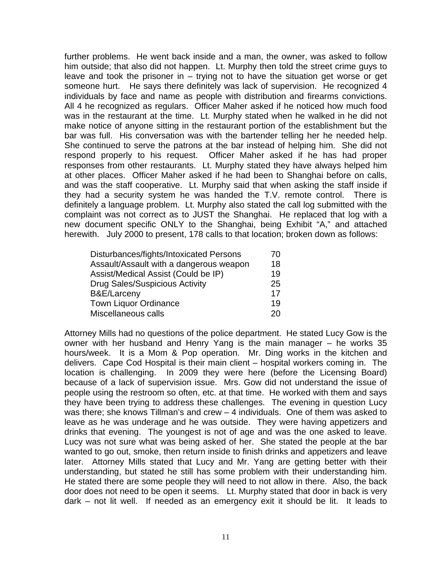further problems. He went back inside and a man, the owner, was asked to follow him outside; that also did not happen. Lt. Murphy then told the street crime guys to leave and took the prisoner in  $-$  trying not to have the situation get worse or get someone hurt. He says there definitely was lack of supervision. He recognized 4 individuals by face and name as people with distribution and firearms convictions. All 4 he recognized as regulars. Officer Maher asked if he noticed how much food was in the restaurant at the time. Lt. Murphy stated when he walked in he did not make notice of anyone sitting in the restaurant portion of the establishment but the bar was full. His conversation was with the bartender telling her he needed help. She continued to serve the patrons at the bar instead of helping him. She did not respond properly to his request. Officer Maher asked if he has had proper responses from other restaurants. Lt. Murphy stated they have always helped him at other places. Officer Maher asked if he had been to Shanghai before on calls, and was the staff cooperative. Lt. Murphy said that when asking the staff inside if they had a security system he was handed the T.V. remote control. There is definitely a language problem. Lt. Murphy also stated the call log submitted with the complaint was not correct as to JUST the Shanghai. He replaced that log with a new document specific ONLY to the Shanghai, being Exhibit "A," and attached herewith. July 2000 to present, 178 calls to that location; broken down as follows:

| Disturbances/fights/Intoxicated Persons | 70 |
|-----------------------------------------|----|
| Assault/Assault with a dangerous weapon | 18 |
| Assist/Medical Assist (Could be IP)     | 19 |
| <b>Drug Sales/Suspicious Activity</b>   | 25 |
| B&E/Larceny                             | 17 |
| <b>Town Liquor Ordinance</b>            | 19 |
| Miscellaneous calls                     | 20 |

Attorney Mills had no questions of the police department. He stated Lucy Gow is the owner with her husband and Henry Yang is the main manager – he works 35 hours/week. It is a Mom & Pop operation. Mr. Ding works in the kitchen and delivers. Cape Cod Hospital is their main client – hospital workers coming in. The location is challenging. In 2009 they were here (before the Licensing Board) because of a lack of supervision issue. Mrs. Gow did not understand the issue of people using the restroom so often, etc. at that time. He worked with them and says they have been trying to address these challenges. The evening in question Lucy was there; she knows Tillman's and crew – 4 individuals. One of them was asked to leave as he was underage and he was outside. They were having appetizers and drinks that evening. The youngest is not of age and was the one asked to leave. Lucy was not sure what was being asked of her. She stated the people at the bar wanted to go out, smoke, then return inside to finish drinks and appetizers and leave later. Attorney Mills stated that Lucy and Mr. Yang are getting better with their understanding, but stated he still has some problem with their understanding him. He stated there are some people they will need to not allow in there. Also, the back door does not need to be open it seems. Lt. Murphy stated that door in back is very dark – not lit well. If needed as an emergency exit it should be lit. It leads to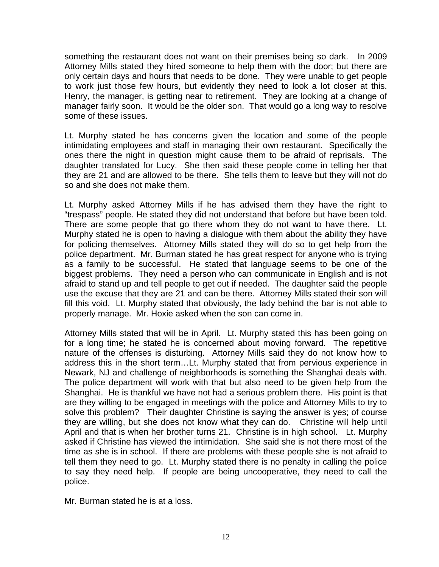something the restaurant does not want on their premises being so dark. In 2009 Attorney Mills stated they hired someone to help them with the door; but there are only certain days and hours that needs to be done. They were unable to get people to work just those few hours, but evidently they need to look a lot closer at this. Henry, the manager, is getting near to retirement. They are looking at a change of manager fairly soon. It would be the older son. That would go a long way to resolve some of these issues.

Lt. Murphy stated he has concerns given the location and some of the people intimidating employees and staff in managing their own restaurant. Specifically the ones there the night in question might cause them to be afraid of reprisals. The daughter translated for Lucy. She then said these people come in telling her that they are 21 and are allowed to be there. She tells them to leave but they will not do so and she does not make them.

Lt. Murphy asked Attorney Mills if he has advised them they have the right to "trespass" people. He stated they did not understand that before but have been told. There are some people that go there whom they do not want to have there. Lt. Murphy stated he is open to having a dialogue with them about the ability they have for policing themselves. Attorney Mills stated they will do so to get help from the police department. Mr. Burman stated he has great respect for anyone who is trying as a family to be successful. He stated that language seems to be one of the biggest problems. They need a person who can communicate in English and is not afraid to stand up and tell people to get out if needed. The daughter said the people use the excuse that they are 21 and can be there. Attorney Mills stated their son will fill this void. Lt. Murphy stated that obviously, the lady behind the bar is not able to properly manage. Mr. Hoxie asked when the son can come in.

Attorney Mills stated that will be in April. Lt. Murphy stated this has been going on for a long time; he stated he is concerned about moving forward. The repetitive nature of the offenses is disturbing. Attorney Mills said they do not know how to address this in the short term…Lt. Murphy stated that from pervious experience in Newark, NJ and challenge of neighborhoods is something the Shanghai deals with. The police department will work with that but also need to be given help from the Shanghai. He is thankful we have not had a serious problem there. His point is that are they willing to be engaged in meetings with the police and Attorney Mills to try to solve this problem? Their daughter Christine is saying the answer is yes; of course they are willing, but she does not know what they can do. Christine will help until April and that is when her brother turns 21. Christine is in high school. Lt. Murphy asked if Christine has viewed the intimidation. She said she is not there most of the time as she is in school. If there are problems with these people she is not afraid to tell them they need to go. Lt. Murphy stated there is no penalty in calling the police to say they need help. If people are being uncooperative, they need to call the police.

Mr. Burman stated he is at a loss.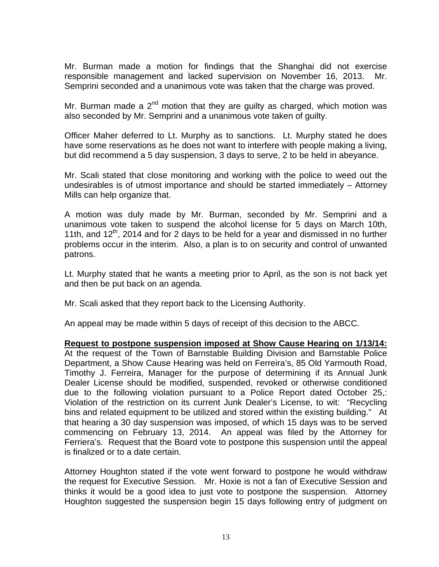Mr. Burman made a motion for findings that the Shanghai did not exercise responsible management and lacked supervision on November 16, 2013. Mr. Semprini seconded and a unanimous vote was taken that the charge was proved.

Mr. Burman made a  $2<sup>nd</sup>$  motion that they are guilty as charged, which motion was also seconded by Mr. Semprini and a unanimous vote taken of guilty.

Officer Maher deferred to Lt. Murphy as to sanctions. Lt. Murphy stated he does have some reservations as he does not want to interfere with people making a living, but did recommend a 5 day suspension, 3 days to serve, 2 to be held in abeyance.

Mr. Scali stated that close monitoring and working with the police to weed out the undesirables is of utmost importance and should be started immediately – Attorney Mills can help organize that.

A motion was duly made by Mr. Burman, seconded by Mr. Semprini and a unanimous vote taken to suspend the alcohol license for 5 days on March 10th, 11th, and  $12^{th}$ , 2014 and for 2 days to be held for a year and dismissed in no further problems occur in the interim. Also, a plan is to on security and control of unwanted patrons.

Lt. Murphy stated that he wants a meeting prior to April, as the son is not back yet and then be put back on an agenda.

Mr. Scali asked that they report back to the Licensing Authority.

An appeal may be made within 5 days of receipt of this decision to the ABCC.

**Request to postpone suspension imposed at Show Cause Hearing on 1/13/14:** At the request of the Town of Barnstable Building Division and Barnstable Police Department, a Show Cause Hearing was held on Ferreira's, 85 Old Yarmouth Road, Timothy J. Ferreira, Manager for the purpose of determining if its Annual Junk Dealer License should be modified, suspended, revoked or otherwise conditioned due to the following violation pursuant to a Police Report dated October 25,: Violation of the restriction on its current Junk Dealer's License, to wit: "Recycling bins and related equipment to be utilized and stored within the existing building." At that hearing a 30 day suspension was imposed, of which 15 days was to be served commencing on February 13, 2014. An appeal was filed by the Attorney for Ferriera's. Request that the Board vote to postpone this suspension until the appeal is finalized or to a date certain.

Attorney Houghton stated if the vote went forward to postpone he would withdraw the request for Executive Session. Mr. Hoxie is not a fan of Executive Session and thinks it would be a good idea to just vote to postpone the suspension. Attorney Houghton suggested the suspension begin 15 days following entry of judgment on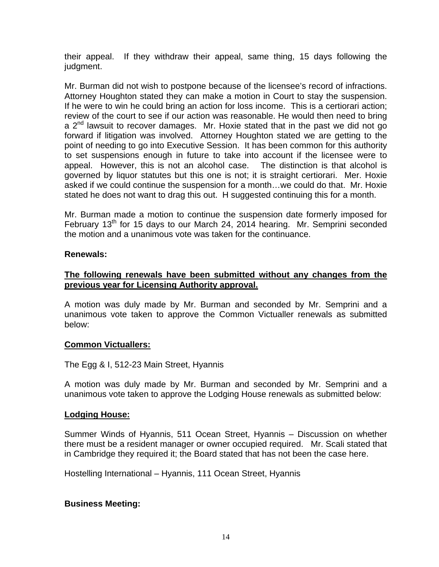their appeal. If they withdraw their appeal, same thing, 15 days following the judgment.

Mr. Burman did not wish to postpone because of the licensee's record of infractions. Attorney Houghton stated they can make a motion in Court to stay the suspension. If he were to win he could bring an action for loss income. This is a certiorari action; review of the court to see if our action was reasonable. He would then need to bring a  $2<sup>nd</sup>$  lawsuit to recover damages. Mr. Hoxie stated that in the past we did not go forward if litigation was involved. Attorney Houghton stated we are getting to the point of needing to go into Executive Session. It has been common for this authority to set suspensions enough in future to take into account if the licensee were to appeal. However, this is not an alcohol case. The distinction is that alcohol is governed by liquor statutes but this one is not; it is straight certiorari. Mer. Hoxie asked if we could continue the suspension for a month…we could do that. Mr. Hoxie stated he does not want to drag this out. H suggested continuing this for a month.

Mr. Burman made a motion to continue the suspension date formerly imposed for February 13<sup>th</sup> for 15 days to our March 24, 2014 hearing. Mr. Semprini seconded the motion and a unanimous vote was taken for the continuance.

#### **Renewals:**

### **The following renewals have been submitted without any changes from the previous year for Licensing Authority approval.**

A motion was duly made by Mr. Burman and seconded by Mr. Semprini and a unanimous vote taken to approve the Common Victualler renewals as submitted below:

#### **Common Victuallers:**

The Egg & I, 512-23 Main Street, Hyannis

A motion was duly made by Mr. Burman and seconded by Mr. Semprini and a unanimous vote taken to approve the Lodging House renewals as submitted below:

#### **Lodging House:**

Summer Winds of Hyannis, 511 Ocean Street, Hyannis – Discussion on whether there must be a resident manager or owner occupied required. Mr. Scali stated that in Cambridge they required it; the Board stated that has not been the case here.

Hostelling International – Hyannis, 111 Ocean Street, Hyannis

## **Business Meeting:**